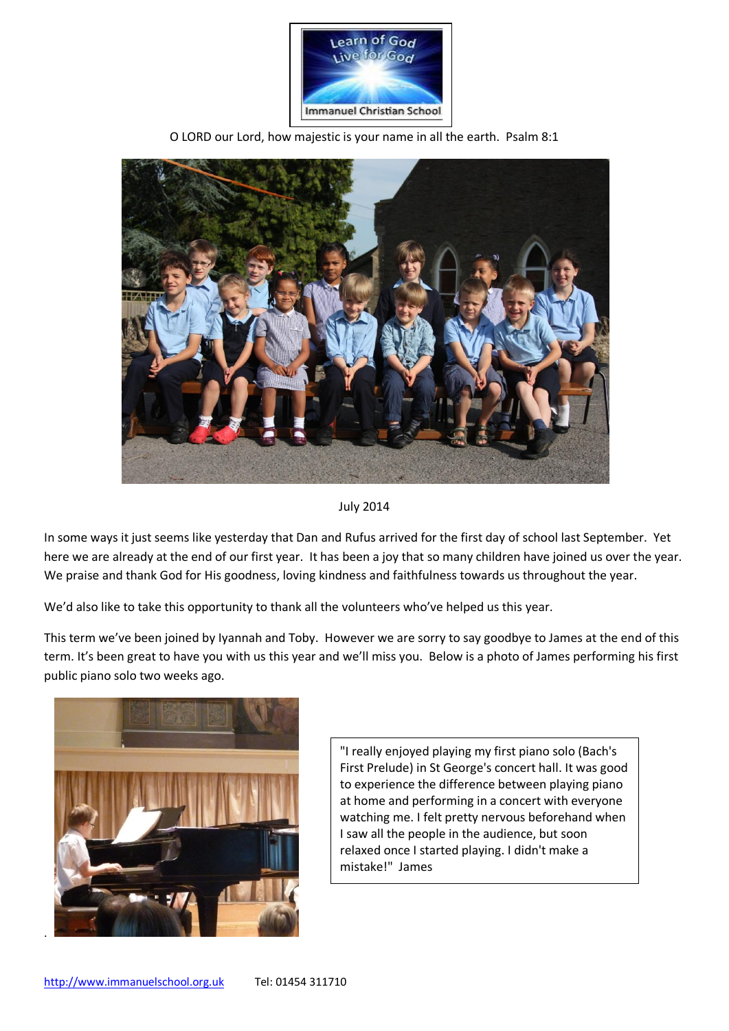



O LORD our Lord, how majestic is your name in all the earth. Psalm 8:1

In some ways it just seems like yesterday that Dan and Rufus arrived for the first day of school last September. Yet here we are already at the end of our first year. It has been a joy that so many children have joined us over the year. We praise and thank God for His goodness, loving kindness and faithfulness towards us throughout the year.

We'd also like to take this opportunity to thank all the volunteers who've helped us this year.

This term we've been joined by Iyannah and Toby. However we are sorry to say goodbye to James at the end of this term. It's been great to have you with us this year and we'll miss you. Below is a photo of James performing his first public piano solo two weeks ago.



"I really enjoyed playing my first piano solo (Bach's First Prelude) in St George's concert hall. It was good to experience the difference between playing piano at home and performing in a concert with everyone watching me. I felt pretty nervous beforehand when I saw all the people in the audience, but soon relaxed once I started playing. I didn't make a mistake!" James

July 2014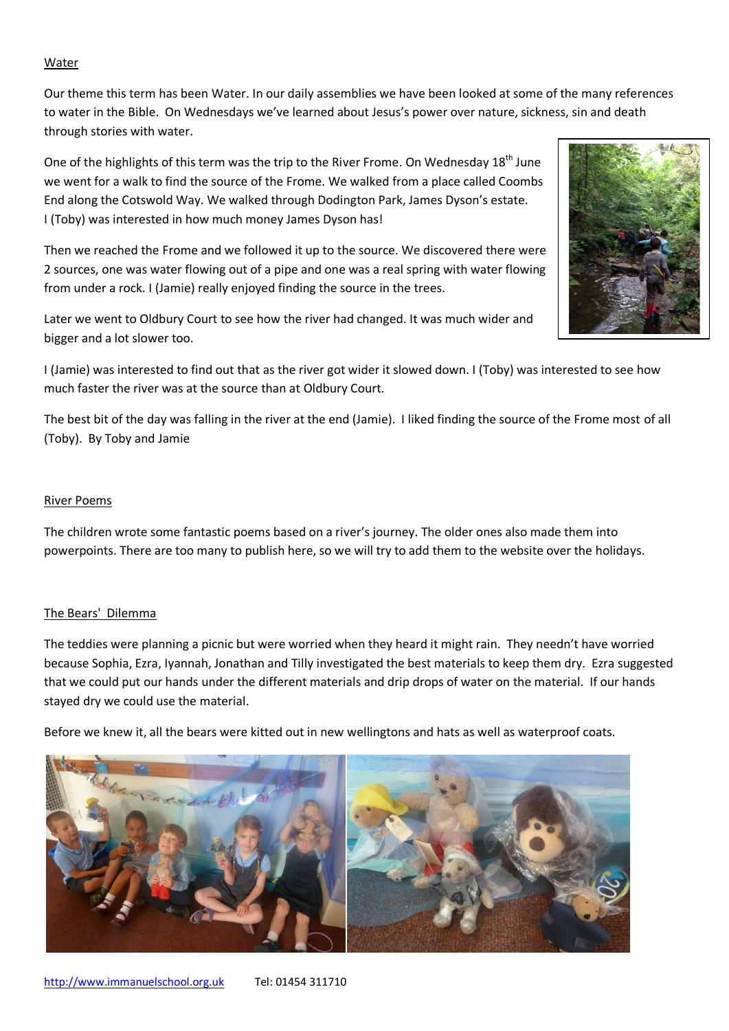## Water

Our theme this term has been Water. In our daily assemblies we have been looked at some of the many references to water in the Bible. On Wednesdays we've learned about Jesus's power over nature, sickness, sin and death through stories with water.

One of the highlights of this term was the trip to the River Frome. On Wednesday 18<sup>th</sup> June we went for a walk to find the source of the Frome. We walked from a place called Coombs End along the Cotswold Way. We walked through Dodington Park, James Dyson's estate. I (Toby) was interested in how much money James Dyson has!

Then we reached the Frome and we followed it up to the source. We discovered there were 2 sources, one was water flowing out of a pipe and one was a real spring with water flowing from under a rock. I (Jamie) really enjoyed finding the source in the trees.

Later we went to Oldbury Court to see how the river had changed. It was much wider and bigger and a lot slower too.



I (Jamie) was interested to find out that as the river got wider it slowed down. I (Toby) was interested to see how much faster the river was at the source than at Oldbury Court.

The best bit of the day was falling in the river at the end (Jamie). I liked finding the source of the Frome most of all (Toby). By Toby and Jamie

## River Poems

The children wrote some fantastic poems based on a river's journey. The older ones also made them into powerpoints. There are too many to publish here, so we will try to add them to the website over the holidays.

# The Bears' Dilemma

The teddies were planning a picnic but were worried when they heard it might rain. They needn't have worried because Sophia, Ezra, Iyannah, Jonathan and Tilly investigated the best materials to keep them dry. Ezra suggested that we could put our hands under the different materials and drip drops of water on the material. If our hands stayed dry we could use the material.

Before we knew it, all the bears were kitted out in new wellingtons and hats as well as waterproof coats.

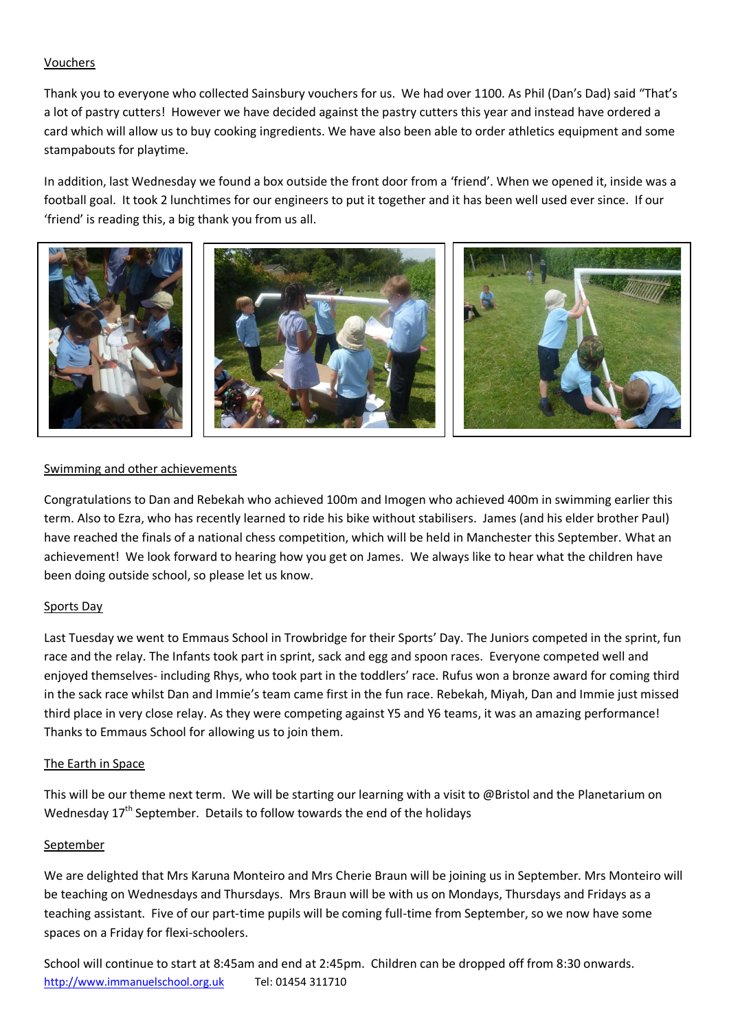# Vouchers

Thank you to everyone who collected Sainsbury vouchers for us. We had over 1100. As Phil (Dan's Dad) said "That's a lot of pastry cutters! However we have decided against the pastry cutters this year and instead have ordered a card which will allow us to buy cooking ingredients. We have also been able to order athletics equipment and some stampabouts for playtime.

In addition, last Wednesday we found a box outside the front door from a 'friend'. When we opened it, inside was a football goal. It took 2 lunchtimes for our engineers to put it together and it has been well used ever since. If our 'friend' is reading this, a big thank you from us all.



## Swimming and other achievements

Congratulations to Dan and Rebekah who achieved 100m and Imogen who achieved 400m in swimming earlier this term. Also to Ezra, who has recently learned to ride his bike without stabilisers. James (and his elder brother Paul) have reached the finals of a national chess competition, which will be held in Manchester this September. What an achievement! We look forward to hearing how you get on James. We always like to hear what the children have been doing outside school, so please let us know.

# Sports Day

Last Tuesday we went to Emmaus School in Trowbridge for their Sports' Day. The Juniors competed in the sprint, fun race and the relay. The Infants took part in sprint, sack and egg and spoon races. Everyone competed well and enjoyed themselves- including Rhys, who took part in the toddlers' race. Rufus won a bronze award for coming third in the sack race whilst Dan and Immie's team came first in the fun race. Rebekah, Miyah, Dan and Immie just missed third place in very close relay. As they were competing against Y5 and Y6 teams, it was an amazing performance! Thanks to Emmaus School for allowing us to join them.

# The Earth in Space

This will be our theme next term. We will be starting our learning with a visit to @Bristol and the Planetarium on Wednesday  $17<sup>th</sup>$  September. Details to follow towards the end of the holidays

#### September

We are delighted that Mrs Karuna Monteiro and Mrs Cherie Braun will be joining us in September. Mrs Monteiro will be teaching on Wednesdays and Thursdays. Mrs Braun will be with us on Mondays, Thursdays and Fridays as a teaching assistant. Five of our part-time pupils will be coming full-time from September, so we now have some spaces on a Friday for flexi-schoolers.

http://www.immanuelschool.org.uk Tel: 01454 311710 School will continue to start at 8:45am and end at 2:45pm. Children can be dropped off from 8:30 onwards.